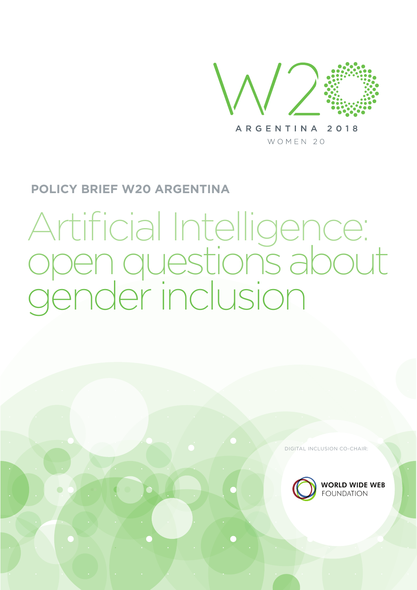

ARGENTINA 2018 WOMEN 20

## **POLICY BRIEF W20 ARGENTINA**

# Artificial Intelligence: open questions about gender inclusion

DIGITAL INCLUSION CO-CHAIR:



**WORLD WIDE WEB**<br>Foundation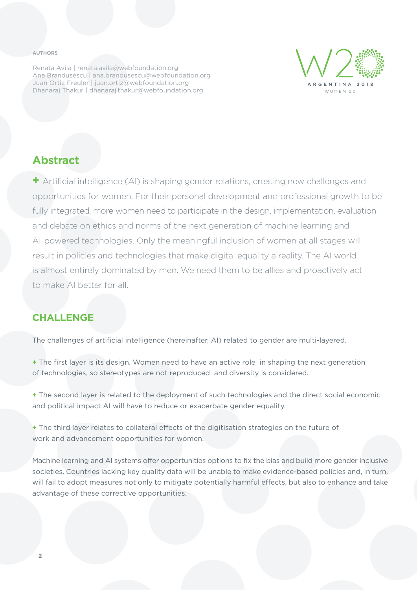#### **AUTHORS**

Renata Avila | renata.avila@webfoundation.org Ana Brandusescu | ana.brandusescu@webfoundation.org Juan Ortiz Freuler | juan.ortiz@webfoundation.org Dhanaraj Thakur | dhanaraj.thakur@webfoundation.org



## **Abstract**

**+** Artificial intelligence (AI) is shaping gender relations, creating new challenges and opportunities for women. For their personal development and professional growth to be fully integrated, more women need to participate in the design, implementation, evaluation and debate on ethics and norms of the next generation of machine learning and AI-powered technologies. Only the meaningful inclusion of women at all stages will result in policies and technologies that make digital equality a reality. The AI world is almost entirely dominated by men. We need them to be allies and proactively act to make AI better for all.

## **CHALLENGE**

The challenges of artificial intelligence (hereinafter, AI) related to gender are multi-layered.

**+** The first layer is its design. Women need to have an active role in shaping the next generation of technologies, so stereotypes are not reproduced and diversity is considered.

**+** The second layer is related to the deployment of such technologies and the direct social economic and political impact AI will have to reduce or exacerbate gender equality.

**+** The third layer relates to collateral effects of the digitisation strategies on the future of work and advancement opportunities for women.

Machine learning and AI systems offer opportunities options to fix the bias and build more gender inclusive societies. Countries lacking key quality data will be unable to make evidence-based policies and, in turn, will fail to adopt measures not only to mitigate potentially harmful effects, but also to enhance and take advantage of these corrective opportunities.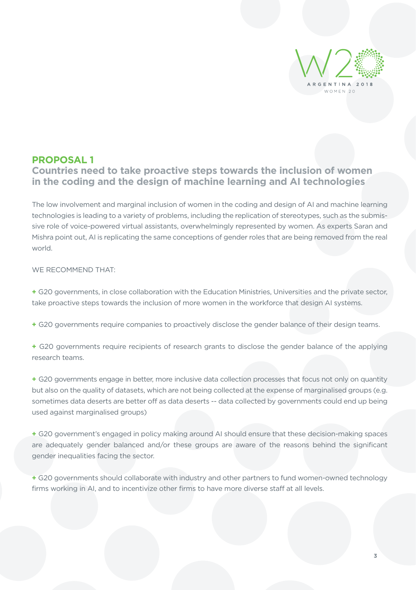

## **PROPOSAL 1**

## **Countries need to take proactive steps towards the inclusion of women in the coding and the design of machine learning and AI technologies**

The low involvement and marginal inclusion of women in the coding and design of AI and machine learning technologies is leading to a variety of problems, including the replication of stereotypes, such as the submissive role of voice-powered virtual assistants, overwhelmingly represented by women. As experts Saran and Mishra point out, AI is replicating the same conceptions of gender roles that are being removed from the real world.

#### WE RECOMMEND THAT:

**+** G20 governments, in close collaboration with the Education Ministries, Universities and the private sector, take proactive steps towards the inclusion of more women in the workforce that design AI systems.

- **+** G20 governments require companies to proactively disclose the gender balance of their design teams.
- **+** G20 governments require recipients of research grants to disclose the gender balance of the applying research teams.

**+** G20 governments engage in better, more inclusive data collection processes that focus not only on quantity but also on the quality of datasets, which are not being collected at the expense of marginalised groups (e.g. sometimes data deserts are better off as data deserts -- data collected by governments could end up being used against marginalised groups)

**+** G20 government's engaged in policy making around AI should ensure that these decision-making spaces are adequately gender balanced and/or these groups are aware of the reasons behind the significant gender inequalities facing the sector.

**+** G20 governments should collaborate with industry and other partners to fund women-owned technology firms working in AI, and to incentivize other firms to have more diverse staff at all levels.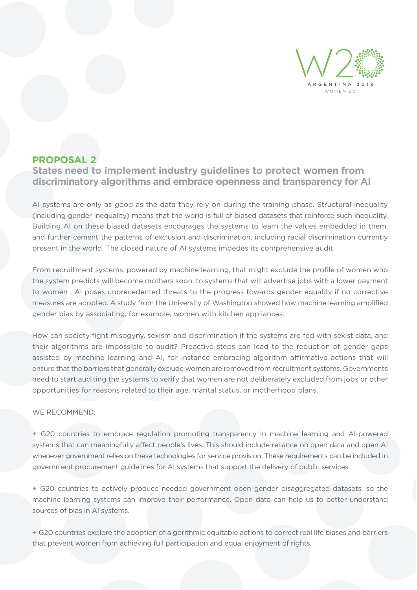

## **PROPOSAL 2**

**States need to implement industry guidelines to protect women from discriminatory algorithms and embrace openness and transparency for AI** 

AI systems are only as good as the data they rely on during the training phase. Structural inequality (including gender inequality) means that the world is full of biased datasets that reinforce such inequality. Building AI on these biased datasets encourages the systems to learn the values embedded in them, and further cement the patterns of exclusion and discrimination, including racial discrimination currently present in the world. The closed nature of AI systems impedes its comprehensive audit.

From recruitment systems, powered by machine learning, that might exclude the profile of women who the system predicts will become mothers soon, to systems that will advertise jobs with a lower payment to women , AI poses unprecedented threats to the progress towards gender equality if no corrective measures are adopted. A study from the University of Washington showed how machine learning amplified gender bias by associating, for example, women with kitchen appliances.

How can society fight misogyny, sexism and discrimination if the systems are fed with sexist data, and their algorithms are impossible to audit? Proactive steps can lead to the reduction of gender gaps assisted by machine learning and AI, for instance embracing algorithm affirmative actions that will ensure that the barriers that generally exclude women are removed from recruitment systems. Governments need to start auditing the systems to verify that women are not deliberately excluded from jobs or other opportunities for reasons related to their age, marital status, or motherhood plans.

#### WE RECOMMEND:

**+** G20 countries to embrace regulation promoting transparency in machine learning and AI-powered systems that can meaningfully affect people's lives. This should include reliance on open data and open AI whenever government relies on these technologies for service provision. These requirements can be included in government procurement guidelines for AI systems that support the delivery of public services.

**+** G20 countries to actively produce needed government open gender disaggregated datasets, so the machine learning systems can improve their performance. Open data can help us to better understand sources of bias in AI systems.

**+** G20 countries explore the adoption of algorithmic equitable actions to correct real life biases and barriers that prevent women from achieving full participation and equal enjoyment of rights.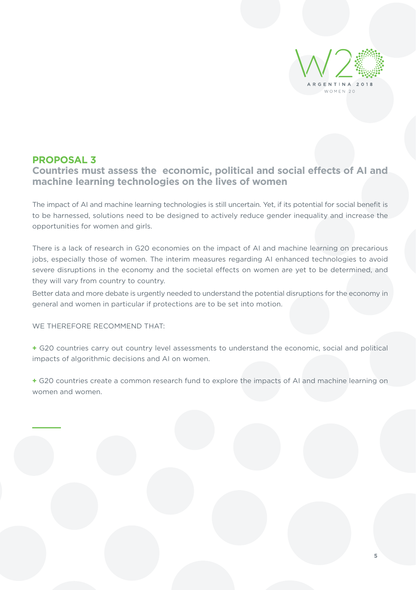

## **PROPOSAL 3**

**\_\_\_\_\_**

## **Countries must assess the economic, political and social effects of AI and machine learning technologies on the lives of women**

The impact of AI and machine learning technologies is still uncertain. Yet, if its potential for social benefit is to be harnessed, solutions need to be designed to actively reduce gender inequality and increase the opportunities for women and girls.

There is a lack of research in G20 economies on the impact of AI and machine learning on precarious jobs, especially those of women. The interim measures regarding AI enhanced technologies to avoid severe disruptions in the economy and the societal effects on women are yet to be determined, and they will vary from country to country.

Better data and more debate is urgently needed to understand the potential disruptions for the economy in general and women in particular if protections are to be set into motion.

WE THEREFORE RECOMMEND THAT:

**+** G20 countries carry out country level assessments to understand the economic, social and political impacts of algorithmic decisions and AI on women.

**+** G20 countries create a common research fund to explore the impacts of AI and machine learning on women and women.